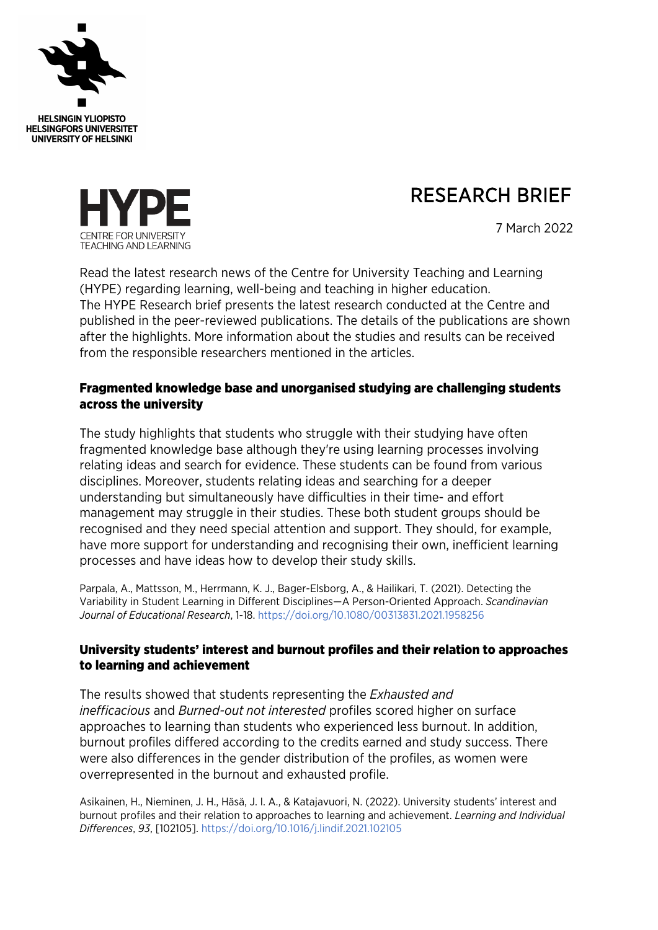

# RESEARCH BRIEF



7 March 2022

Read the latest research news of the Centre for University Teaching and Learning (HYPE) regarding learning, well-being and teaching in higher education. The HYPE Research brief presents the latest research conducted at the Centre and published in the peer-reviewed publications. The details of the publications are shown after the highlights. More information about the studies and results can be received from the responsible researchers mentioned in the articles.

## Fragmented knowledge base and unorganised studying are challenging students across the university

The study highlights that students who struggle with their studying have often fragmented knowledge base although they're using learning processes involving relating ideas and search for evidence. These students can be found from various disciplines. Moreover, students relating ideas and searching for a deeper understanding but simultaneously have difficulties in their time- and effort management may struggle in their studies. These both student groups should be recognised and they need special attention and support. They should, for example, have more support for understanding and recognising their own, inefficient learning processes and have ideas how to develop their study skills.

Parpala, A., Mattsson, M., Herrmann, K. J., Bager-Elsborg, A., & Hailikari, T. (2021). Detecting the Variability in Student Learning in Different Disciplines—A Person-Oriented Approach. *Scandinavian Journal of Educational Research*, 1-18. <https://doi.org/10.1080/00313831.2021.1958256>

# University students' interest and burnout profiles and their relation to approaches to learning and achievement

The results showed that students representing the *Exhausted and inefficacious* and *Burned-out not interested* profiles scored higher on surface approaches to learning than students who experienced less burnout. In addition, burnout profiles differed according to the credits earned and study success. There were also differences in the gender distribution of the profiles, as women were overrepresented in the burnout and exhausted profile.

Asikainen, H., Nieminen, J. H., Häsä, J. I. A., & Katajavuori, N. (2022). University students' interest and burnout profiles and their relation to approaches to learning and achievement. *Learning and Individual Differences*, *93*, [102105]. <https://doi.org/10.1016/j.lindif.2021.102105>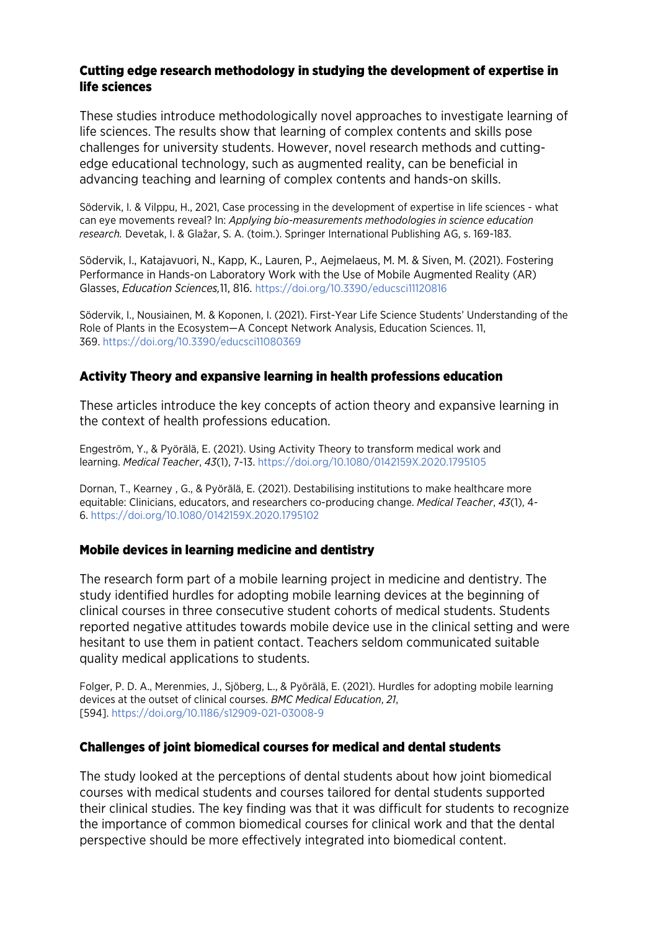## Cutting edge research methodology in studying the development of expertise in life sciences

These studies introduce methodologically novel approaches to investigate learning of life sciences. The results show that learning of complex contents and skills pose challenges for university students. However, novel research methods and cuttingedge educational technology, such as augmented reality, can be beneficial in advancing teaching and learning of complex contents and hands-on skills.

Södervik, I. & Vilppu, H., 2021, Case processing in the development of expertise in life sciences - what can eye movements reveal? In: *Applying bio-measurements methodologies in science education research.* Devetak, I. & Glažar, S. A. (toim.). Springer International Publishing AG, s. 169-183.

Södervik, I., Katajavuori, N., Kapp, K., Lauren, P., Aejmelaeus, M. M. & Siven, M. (2021). Fostering Performance in Hands-on Laboratory Work with the Use of Mobile Augmented Reality (AR) Glasses, *Education Sciences,*11, 816. <https://doi.org/10.3390/educsci11120816>

Södervik, I., Nousiainen, M. & Koponen, I. (2021). First-Year Life Science Students' Understanding of the Role of Plants in the Ecosystem—A Concept Network Analysis, Education Sciences. 11, 369. <https://doi.org/10.3390/educsci11080369>

## Activity Theory and expansive learning in health professions education

These articles introduce the key concepts of action theory and expansive learning in the context of health professions education.

Engeström, Y., & Pyörälä, E. (2021). Using Activity Theory to transform medical work and learning. *Medical Teacher*, *43*(1), 7-13. <https://doi.org/10.1080/0142159X.2020.1795105>

Dornan, T., Kearney , G., & Pyörälä, E. (2021). Destabilising institutions to make healthcare more equitable: Clinicians, educators, and researchers co-producing change. *Medical Teacher*, *43*(1), 4- 6. <https://doi.org/10.1080/0142159X.2020.1795102>

## Mobile devices in learning medicine and dentistry

The research form part of a mobile learning project in medicine and dentistry. The study identified hurdles for adopting mobile learning devices at the beginning of clinical courses in three consecutive student cohorts of medical students. Students reported negative attitudes towards mobile device use in the clinical setting and were hesitant to use them in patient contact. Teachers seldom communicated suitable quality medical applications to students.

Folger, P. D. A., Merenmies, J., Sjöberg, L., & Pyörälä, E. (2021). Hurdles for adopting mobile learning devices at the outset of clinical courses. *BMC Medical Education*, *21*, [594]. <https://doi.org/10.1186/s12909-021-03008-9>

#### Challenges of joint biomedical courses for medical and dental students

The study looked at the perceptions of dental students about how joint biomedical courses with medical students and courses tailored for dental students supported their clinical studies. The key finding was that it was difficult for students to recognize the importance of common biomedical courses for clinical work and that the dental perspective should be more effectively integrated into biomedical content.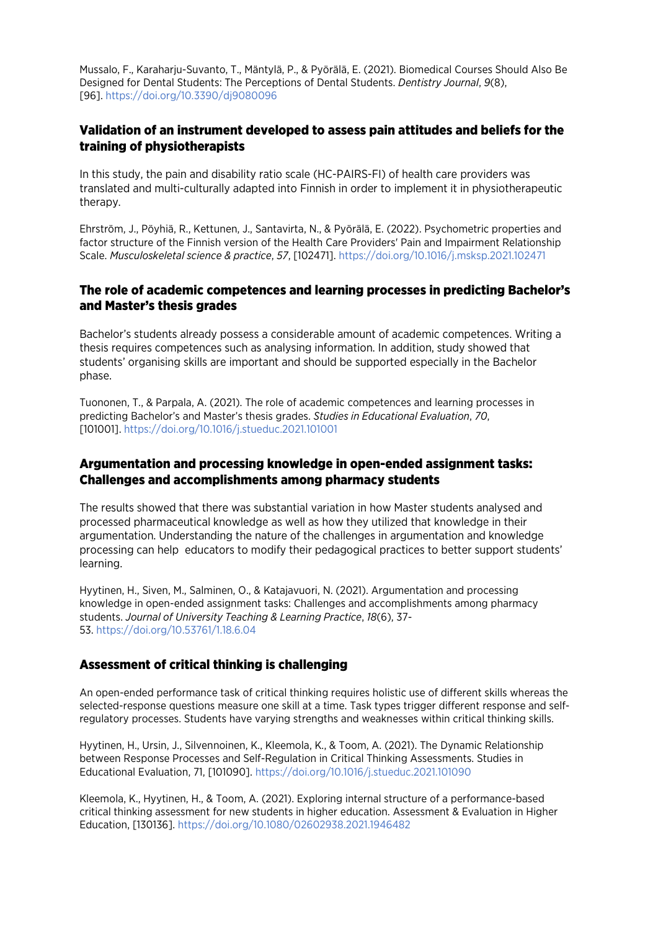Mussalo, F., Karaharju-Suvanto, T., Mäntylä, P., & Pyörälä, E. (2021). Biomedical Courses Should Also Be Designed for Dental Students: The Perceptions of Dental Students. *Dentistry Journal*, *9*(8), [96].<https://doi.org/10.3390/dj9080096>

## Validation of an instrument developed to assess pain attitudes and beliefs for the training of physiotherapists

In this study, the pain and disability ratio scale (HC-PAIRS-FI) of health care providers was translated and multi-culturally adapted into Finnish in order to implement it in physiotherapeutic therapy.

Ehrström, J., Pöyhiä, R., Kettunen, J., Santavirta, N., & Pyörälä, E. (2022). Psychometric properties and factor structure of the Finnish version of the Health Care Providers' Pain and Impairment Relationship Scale. *Musculoskeletal science & practice*, *57*, [102471]. <https://doi.org/10.1016/j.msksp.2021.102471>

#### The role of academic competences and learning processes in predicting Bachelor's and Master's thesis grades

Bachelor's students already possess a considerable amount of academic competences. Writing a thesis requires competences such as analysing information. In addition, study showed that students' organising skills are important and should be supported especially in the Bachelor phase.

Tuononen, T., & Parpala, A. (2021). The role of academic competences and learning processes in predicting Bachelor's and Master's thesis grades. *Studies in Educational Evaluation*, *70*, [101001]. <https://doi.org/10.1016/j.stueduc.2021.101001>

#### Argumentation and processing knowledge in open-ended assignment tasks: Challenges and accomplishments among pharmacy students

The results showed that there was substantial variation in how Master students analysed and processed pharmaceutical knowledge as well as how they utilized that knowledge in their argumentation. Understanding the nature of the challenges in argumentation and knowledge processing can help educators to modify their pedagogical practices to better support students' learning.

Hyytinen, H., Siven, M., Salminen, O., & Katajavuori, N. (2021). Argumentation and processing knowledge in open-ended assignment tasks: Challenges and accomplishments among pharmacy students. *Journal of University Teaching & Learning Practice*, *18*(6), 37- 53. <https://doi.org/10.53761/1.18.6.04>

## Assessment of critical thinking is challenging

An open-ended performance task of critical thinking requires holistic use of different skills whereas the selected-response questions measure one skill at a time. Task types trigger different response and selfregulatory processes. Students have varying strengths and weaknesses within critical thinking skills.

Hyytinen, H., Ursin, J., Silvennoinen, K., Kleemola, K., & Toom, A. (2021). The Dynamic Relationship between Response Processes and Self-Regulation in Critical Thinking Assessments. Studies in Educational Evaluation, 71, [101090]. <https://doi.org/10.1016/j.stueduc.2021.101090>

Kleemola, K., Hyytinen, H., & Toom, A. (2021). Exploring internal structure of a performance-based critical thinking assessment for new students in higher education. Assessment & Evaluation in Higher Education, [130136]. <https://doi.org/10.1080/02602938.2021.1946482>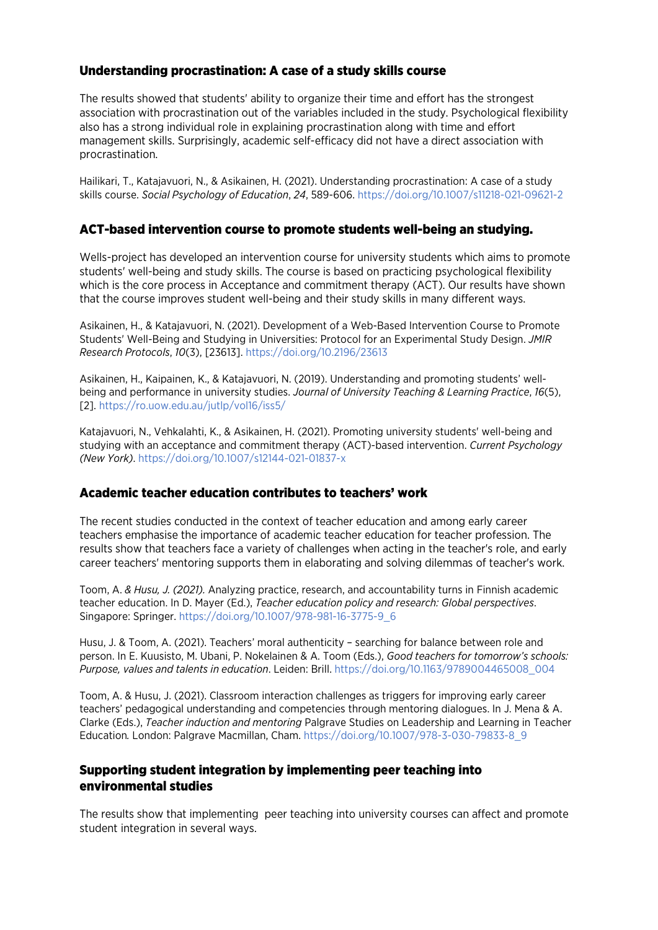## Understanding procrastination: A case of a study skills course

The results showed that students' ability to organize their time and effort has the strongest association with procrastination out of the variables included in the study. Psychological flexibility also has a strong individual role in explaining procrastination along with time and effort management skills. Surprisingly, academic self-efficacy did not have a direct association with procrastination.

Hailikari, T., Katajavuori, N., & Asikainen, H. (2021). Understanding procrastination: A case of a study skills course. *Social Psychology of Education*, *24*, 589-606. <https://doi.org/10.1007/s11218-021-09621-2>

#### ACT-based intervention course to promote students well-being an studying.

Wells-project has developed an intervention course for university students which aims to promote students' well-being and study skills. The course is based on practicing psychological flexibility which is the core process in Acceptance and commitment therapy (ACT). Our results have shown that the course improves student well-being and their study skills in many different ways.

Asikainen, H., & Katajavuori, N. (2021). Development of a Web-Based Intervention Course to Promote Students' Well-Being and Studying in Universities: Protocol for an Experimental Study Design. *JMIR Research Protocols*, *10*(3), [23613]. <https://doi.org/10.2196/23613>

Asikainen, H., Kaipainen, K., & Katajavuori, N. (2019). Understanding and promoting students' wellbeing and performance in university studies. *Journal of University Teaching & Learning Practice*, *16*(5), [2][. https://ro.uow.edu.au/jutlp/vol16/iss5/](https://ro.uow.edu.au/jutlp/vol16/iss5/)

Katajavuori, N., Vehkalahti, K., & Asikainen, H. (2021). Promoting university students' well-being and studying with an acceptance and commitment therapy (ACT)-based intervention. *Current Psychology (New York)*.<https://doi.org/10.1007/s12144-021-01837-x>

## Academic teacher education contributes to teachers' work

The recent studies conducted in the context of teacher education and among early career teachers emphasise the importance of academic teacher education for teacher profession. The results show that teachers face a variety of challenges when acting in the teacher's role, and early career teachers' mentoring supports them in elaborating and solving dilemmas of teacher's work.

Toom, A. *& Husu, J. (2021).* Analyzing practice, research, and accountability turns in Finnish academic teacher education. In D. Mayer (Ed.), *Teacher education policy and research: Global perspectives*. Singapore: Springer. [https://doi.org/10.1007/978-981-16-3775-9\\_6](https://doi.org/10.1007/978-981-16-3775-9_6)

Husu, J. & Toom, A. (2021). Teachers' moral authenticity – searching for balance between role and person. In E. Kuusisto, M. Ubani, P. Nokelainen & A. Toom (Eds.), *Good teachers for tomorrow's schools: Purpose, values and talents in education*. Leiden: Brill. [https://doi.org/10.1163/9789004465008\\_004](https://doi.org/10.1163/9789004465008_004)

Toom, A. & Husu, J. (2021). Classroom interaction challenges as triggers for improving early career teachers' pedagogical understanding and competencies through mentoring dialogues. In J. Mena & A. Clarke (Eds.), *Teacher induction and mentoring* Palgrave Studies on Leadership and Learning in Teacher Education*.* London: Palgrave Macmillan, Cham. [https://doi.org/10.1007/978-3-030-79833-8\\_9](https://doi.org/10.1007/978-3-030-79833-8_9)

## Supporting student integration by implementing peer teaching into environmental studies

The results show that implementing peer teaching into university courses can affect and promote student integration in several ways.